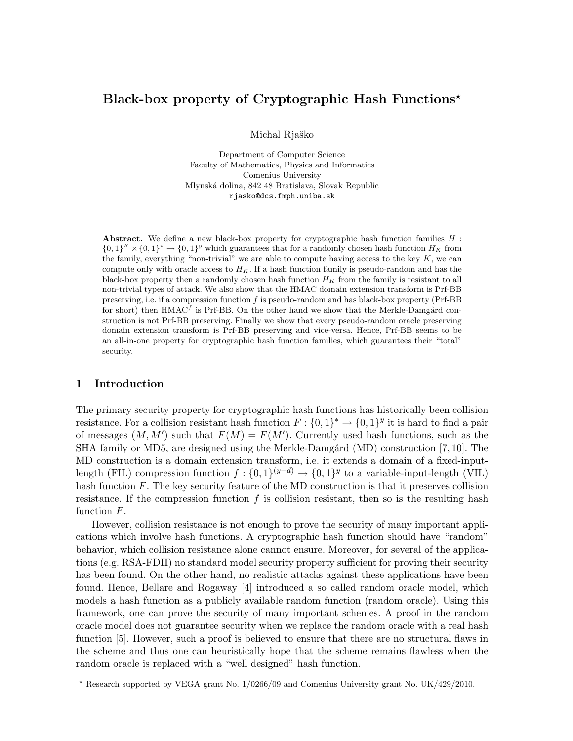# Black-box property of Cryptographic Hash Functions<sup>\*</sup>

Michal Rjaško

Department of Computer Science Faculty of Mathematics, Physics and Informatics Comenius University Mlynsk´a dolina, 842 48 Bratislava, Slovak Republic rjasko@dcs.fmph.uniba.sk

Abstract. We define a new black-box property for cryptographic hash function families  $H$ :  ${0,1}^K \times {0,1}^* \to {0,1}^y$  which guarantees that for a randomly chosen hash function  $H_K$  from the family, everything "non-trivial" we are able to compute having access to the key  $K$ , we can compute only with oracle access to  $H_K$ . If a hash function family is pseudo-random and has the black-box property then a randomly chosen hash function  $H_K$  from the family is resistant to all non-trivial types of attack. We also show that the HMAC domain extension transform is Prf-BB preserving, i.e. if a compression function  $f$  is pseudo-random and has black-box property (Prf-BB) for short) then  $HMAC<sup>f</sup>$  is Prf-BB. On the other hand we show that the Merkle-Damgård construction is not Prf-BB preserving. Finally we show that every pseudo-random oracle preserving domain extension transform is Prf-BB preserving and vice-versa. Hence, Prf-BB seems to be an all-in-one property for cryptographic hash function families, which guarantees their "total" security.

### 1 Introduction

The primary security property for cryptographic hash functions has historically been collision resistance. For a collision resistant hash function  $F: \{0,1\}^* \to \{0,1\}^y$  it is hard to find a pair of messages  $(M, M')$  such that  $F(M) = F(M')$ . Currently used hash functions, such as the SHA family or MD5, are designed using the Merkle-Damgård (MD) construction [7, 10]. The MD construction is a domain extension transform, i.e. it extends a domain of a fixed-inputlength (FIL) compression function  $f: \{0,1\}^{(y+d)} \to \{0,1\}^y$  to a variable-input-length (VIL) hash function F. The key security feature of the MD construction is that it preserves collision resistance. If the compression function  $f$  is collision resistant, then so is the resulting hash function F.

However, collision resistance is not enough to prove the security of many important applications which involve hash functions. A cryptographic hash function should have "random" behavior, which collision resistance alone cannot ensure. Moreover, for several of the applications (e.g. RSA-FDH) no standard model security property sufficient for proving their security has been found. On the other hand, no realistic attacks against these applications have been found. Hence, Bellare and Rogaway [4] introduced a so called random oracle model, which models a hash function as a publicly available random function (random oracle). Using this framework, one can prove the security of many important schemes. A proof in the random oracle model does not guarantee security when we replace the random oracle with a real hash function [5]. However, such a proof is believed to ensure that there are no structural flaws in the scheme and thus one can heuristically hope that the scheme remains flawless when the random oracle is replaced with a "well designed" hash function.

 $*$  Research supported by VEGA grant No.  $1/0266/09$  and Comenius University grant No. UK/429/2010.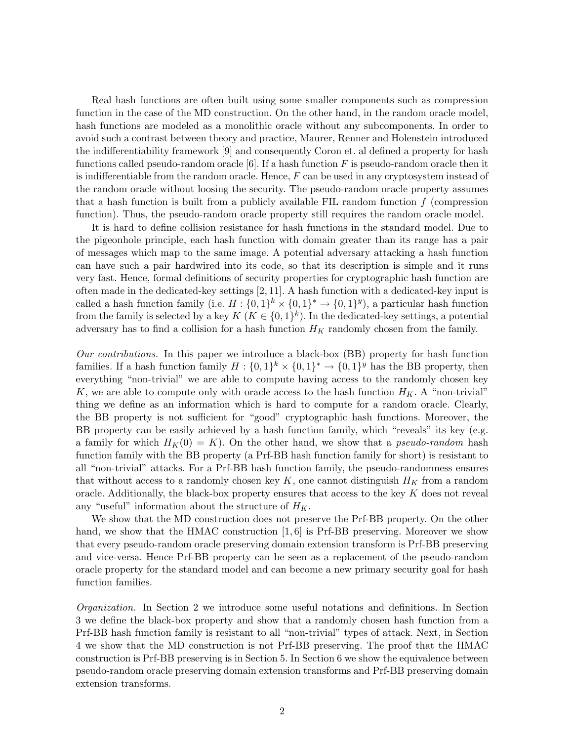Real hash functions are often built using some smaller components such as compression function in the case of the MD construction. On the other hand, in the random oracle model, hash functions are modeled as a monolithic oracle without any subcomponents. In order to avoid such a contrast between theory and practice, Maurer, Renner and Holenstein introduced the indifferentiability framework [9] and consequently Coron et. al defined a property for hash functions called pseudo-random oracle  $[6]$ . If a hash function F is pseudo-random oracle then it is indifferentiable from the random oracle. Hence,  $F$  can be used in any cryptosystem instead of the random oracle without loosing the security. The pseudo-random oracle property assumes that a hash function is built from a publicly available FIL random function  $f$  (compression function). Thus, the pseudo-random oracle property still requires the random oracle model.

It is hard to define collision resistance for hash functions in the standard model. Due to the pigeonhole principle, each hash function with domain greater than its range has a pair of messages which map to the same image. A potential adversary attacking a hash function can have such a pair hardwired into its code, so that its description is simple and it runs very fast. Hence, formal definitions of security properties for cryptographic hash function are often made in the dedicated-key settings [2, 11]. A hash function with a dedicated-key input is called a hash function family (i.e.  $H: \{0,1\}^k \times \{0,1\}^* \to \{0,1\}^y$ ), a particular hash function from the family is selected by a key  $K (K \in \{0,1\}^k)$ . In the dedicated-key settings, a potential adversary has to find a collision for a hash function  $H_K$  randomly chosen from the family.

Our contributions. In this paper we introduce a black-box (BB) property for hash function families. If a hash function family  $H: \{0,1\}^k \times \{0,1\}^* \to \{0,1\}^y$  has the BB property, then everything "non-trivial" we are able to compute having access to the randomly chosen key K, we are able to compute only with oracle access to the hash function  $H_K$ . A "non-trivial" thing we define as an information which is hard to compute for a random oracle. Clearly, the BB property is not sufficient for "good" cryptographic hash functions. Moreover, the BB property can be easily achieved by a hash function family, which "reveals" its key (e.g. a family for which  $H_K(0) = K$ ). On the other hand, we show that a *pseudo-random* hash function family with the BB property (a Prf-BB hash function family for short) is resistant to all "non-trivial" attacks. For a Prf-BB hash function family, the pseudo-randomness ensures that without access to a randomly chosen key K, one cannot distinguish  $H_K$  from a random oracle. Additionally, the black-box property ensures that access to the key  $K$  does not reveal any "useful" information about the structure of  $H_K$ .

We show that the MD construction does not preserve the Prf-BB property. On the other hand, we show that the HMAC construction  $[1, 6]$  is Prf-BB preserving. Moreover we show that every pseudo-random oracle preserving domain extension transform is Prf-BB preserving and vice-versa. Hence Prf-BB property can be seen as a replacement of the pseudo-random oracle property for the standard model and can become a new primary security goal for hash function families.

Organization. In Section 2 we introduce some useful notations and definitions. In Section 3 we define the black-box property and show that a randomly chosen hash function from a Prf-BB hash function family is resistant to all "non-trivial" types of attack. Next, in Section 4 we show that the MD construction is not Prf-BB preserving. The proof that the HMAC construction is Prf-BB preserving is in Section 5. In Section 6 we show the equivalence between pseudo-random oracle preserving domain extension transforms and Prf-BB preserving domain extension transforms.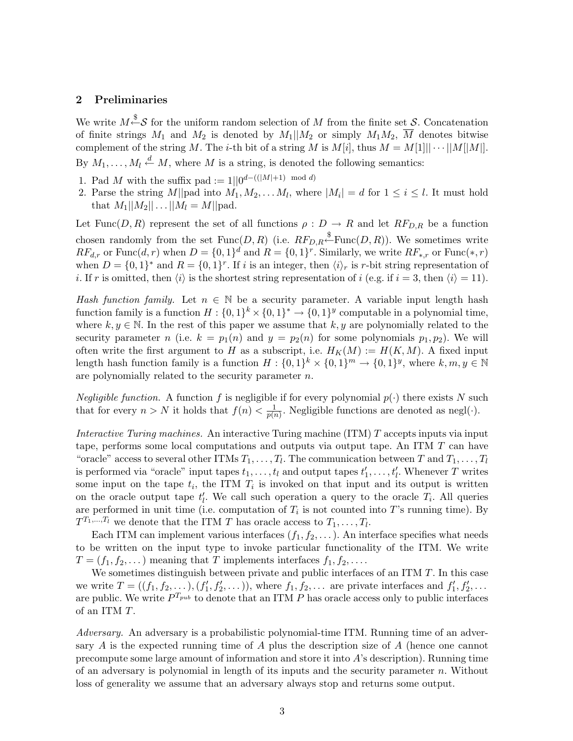## 2 Preliminaries

We write  $M \xrightarrow{\$} \mathcal{S}$  for the uniform random selection of M from the finite set S. Concatenation of finite strings  $M_1$  and  $M_2$  is denoted by  $M_1||M_2$  or simply  $M_1M_2$ ,  $\overline{M}$  denotes bitwise complement of the string M. The *i*-th bit of a string M is  $M[i]$ , thus  $M = M[1] \cdots ||M||M||$ . By  $M_1, \ldots, M_l \stackrel{d}{\leftarrow} M$ , where M is a string, is denoted the following semantics:

- 1. Pad M with the suffix pad  $:= 1||0^{d-((|M|+1) \mod d)}$
- 2. Parse the string  $M||$  pad into  $M_1, M_2, \ldots, M_l$ , where  $|M_i| = d$  for  $1 \leq i \leq l$ . It must hold that  $M_1||M_2||...||M_l = M||$ pad.

Let Func $(D, R)$  represent the set of all functions  $\rho : D \to R$  and let  $RF_{D,R}$  be a function chosen randomly from the set  $Func(D, R)$  (i.e.  $RF_{D,R} \stackrel{\$}{\leftarrow} \text{Func}(D, R)$ ). We sometimes write  $RF_{d,r}$  or Func $(d,r)$  when  $D = \{0,1\}^d$  and  $R = \{0,1\}^r$ . Similarly, we write  $RF_{*,r}$  or Func $(*,r)$ when  $D = \{0,1\}^*$  and  $R = \{0,1\}^r$ . If i is an integer, then  $\langle i \rangle_r$  is r-bit string representation of i. If r is omitted, then  $\langle i \rangle$  is the shortest string representation of i (e.g. if  $i = 3$ , then  $\langle i \rangle = 11$ ).

Hash function family. Let  $n \in \mathbb{N}$  be a security parameter. A variable input length hash function family is a function  $H: \{0,1\}^k \times \{0,1\}^* \to \{0,1\}^y$  computable in a polynomial time, where  $k, y \in \mathbb{N}$ . In the rest of this paper we assume that k, y are polynomially related to the security parameter n (i.e.  $k = p_1(n)$  and  $y = p_2(n)$  for some polynomials  $p_1, p_2$ ). We will often write the first argument to H as a subscript, i.e.  $H_K(M) := H(K, M)$ . A fixed input length hash function family is a function  $H: \{0,1\}^k \times \{0,1\}^m \to \{0,1\}^y$ , where  $k, m, y \in \mathbb{N}$ are polynomially related to the security parameter  $n$ .

*Negligible function.* A function f is negligible if for every polynomial  $p(\cdot)$  there exists N such that for every  $n > N$  it holds that  $f(n) < \frac{1}{n(n)}$  $\frac{1}{p(n)}$ . Negligible functions are denoted as negl( $\cdot$ ).

Interactive Turing machines. An interactive Turing machine (ITM) T accepts inputs via input tape, performs some local computations and outputs via output tape. An ITM  $T$  can have "oracle" access to several other ITMs  $T_1, \ldots, T_l$ . The communication between T and  $T_1, \ldots, T_l$ is performed via "oracle" input tapes  $t_1, \ldots, t_l$  and output tapes  $t'_1, \ldots, t'_l$ . Whenever T writes some input on the tape  $t_i$ , the ITM  $T_i$  is invoked on that input and its output is written on the oracle output tape  $t'_{l}$ . We call such operation a query to the oracle  $T_{i}$ . All queries are performed in unit time (i.e. computation of  $T_i$  is not counted into T's running time). By  $T^{T_1,...,T_l}$  we denote that the ITM T has oracle access to  $T_1, \ldots, T_l$ .

Each ITM can implement various interfaces  $(f_1, f_2, \dots)$ . An interface specifies what needs to be written on the input type to invoke particular functionality of the ITM. We write  $T = (f_1, f_2, \dots)$  meaning that T implements interfaces  $f_1, f_2, \dots$ 

We sometimes distinguish between private and public interfaces of an ITM  $T$ . In this case we write  $T = ((f_1, f_2, \ldots), (f'_1, f'_2, \ldots))$ , where  $f_1, f_2, \ldots$  are private interfaces and  $f'_1, f'_2, \ldots$ are public. We write  $P^{T_{pub}}$  to denote that an ITM P has oracle access only to public interfaces of an ITM T.

Adversary. An adversary is a probabilistic polynomial-time ITM. Running time of an adversary A is the expected running time of A plus the description size of A (hence one cannot precompute some large amount of information and store it into A's description). Running time of an adversary is polynomial in length of its inputs and the security parameter  $n$ . Without loss of generality we assume that an adversary always stop and returns some output.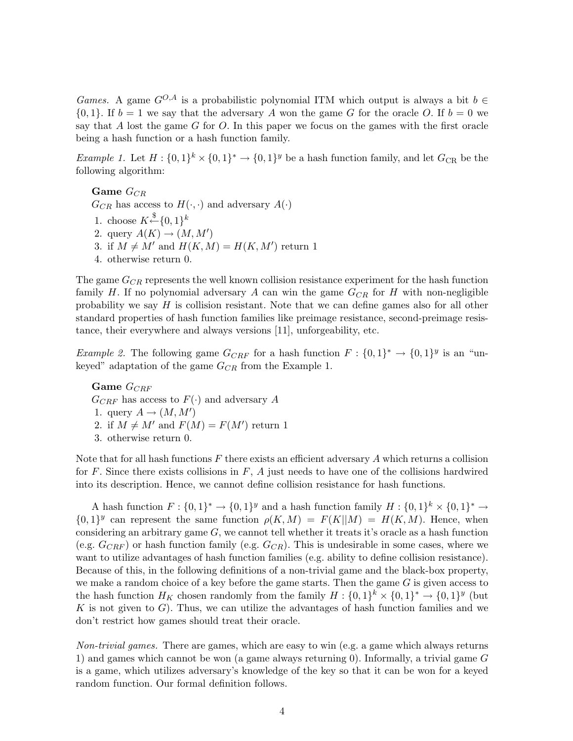Games. A game  $G^{O,A}$  is a probabilistic polynomial ITM which output is always a bit  $b \in$  ${0, 1}$ . If  $b = 1$  we say that the adversary A won the game G for the oracle O. If  $b = 0$  we say that A lost the game G for  $O$ . In this paper we focus on the games with the first oracle being a hash function or a hash function family.

*Example 1.* Let  $H: \{0,1\}^k \times \{0,1\}^* \to \{0,1\}^y$  be a hash function family, and let  $G_{CR}$  be the following algorithm:

### Game  $G_{CR}$

 $G_{CR}$  has access to  $H(\cdot, \cdot)$  and adversary  $A(\cdot)$ 

- 1. choose  $K \xleftarrow{\$} \{0,1\}^k$
- 2. query  $A(K) \rightarrow (M, M')$
- 3. if  $M \neq M'$  and  $H(K, M) = H(K, M')$  return 1
- 4. otherwise return 0.

The game  $G_{CR}$  represents the well known collision resistance experiment for the hash function family H. If no polynomial adversary A can win the game  $G_{CR}$  for H with non-negligible probability we say  $H$  is collision resistant. Note that we can define games also for all other standard properties of hash function families like preimage resistance, second-preimage resistance, their everywhere and always versions [11], unforgeability, etc.

*Example 2.* The following game  $G_{CRF}$  for a hash function  $F: \{0,1\}^* \to \{0,1\}^y$  is an "unkeyed" adaptation of the game  $G_{CR}$  from the Example 1.

Game  $G_{CRF}$  $G_{CRF}$  has access to  $F(\cdot)$  and adversary A 1. query  $A \to (M, M')$ 2. if  $M \neq M'$  and  $F(M) = F(M')$  return 1 3. otherwise return 0.

Note that for all hash functions  $F$  there exists an efficient adversary  $A$  which returns a collision for  $F$ . Since there exists collisions in  $F$ ,  $A$  just needs to have one of the collisions hardwired into its description. Hence, we cannot define collision resistance for hash functions.

A hash function  $F: \{0,1\}^* \to \{0,1\}^y$  and a hash function family  $H: \{0,1\}^k \times \{0,1\}^* \to$  ${0,1}^y$  can represent the same function  $\rho(K,M) = F(K||M) = H(K,M)$ . Hence, when considering an arbitrary game  $G$ , we cannot tell whether it treats it's oracle as a hash function (e.g.  $G_{CRF}$ ) or hash function family (e.g.  $G_{CR}$ ). This is undesirable in some cases, where we want to utilize advantages of hash function families (e.g. ability to define collision resistance). Because of this, in the following definitions of a non-trivial game and the black-box property, we make a random choice of a key before the game starts. Then the game  $G$  is given access to the hash function  $H_K$  chosen randomly from the family  $H: \{0,1\}^k \times \{0,1\}^* \to \{0,1\}^y$  (but K is not given to  $G$ ). Thus, we can utilize the advantages of hash function families and we don't restrict how games should treat their oracle.

Non-trivial games. There are games, which are easy to win (e.g. a game which always returns 1) and games which cannot be won (a game always returning 0). Informally, a trivial game G is a game, which utilizes adversary's knowledge of the key so that it can be won for a keyed random function. Our formal definition follows.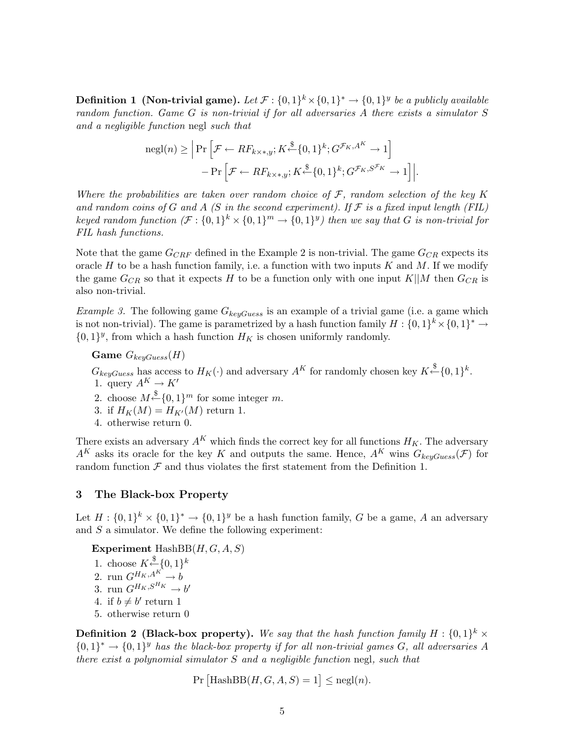**Definition 1** (Non-trivial game). Let  $\mathcal{F}: \{0,1\}^k \times \{0,1\}^* \to \{0,1\}^y$  be a publicly available random function. Game G is non-trivial if for all adversaries A there exists a simulator S and a negligible function negl such that

$$
\operatorname{negl}(n) \ge \left| \Pr \left[ \mathcal{F} \leftarrow RF_{k \times \ast, y}; K \stackrel{\$}{\leftarrow} \{0, 1\}^k; G^{\mathcal{F}_K, A^K} \to 1 \right] - \Pr \left[ \mathcal{F} \leftarrow RF_{k \times \ast, y}; K \stackrel{\$}{\leftarrow} \{0, 1\}^k; G^{\mathcal{F}_K, S^{\mathcal{F}_K}} \to 1 \right] \right|.
$$

Where the probabilities are taken over random choice of  $\mathcal{F}$ , random selection of the key K and random coins of G and A (S in the second experiment). If  $\mathcal F$  is a fixed input length (FIL) keyed random function  $(\mathcal{F}: \{0,1\}^k \times \{0,1\}^m \to \{0,1\}^y)$  then we say that G is non-trivial for FIL hash functions.

Note that the game  $G_{CRF}$  defined in the Example 2 is non-trivial. The game  $G_{CR}$  expects its oracle  $H$  to be a hash function family, i.e. a function with two inputs  $K$  and  $M$ . If we modify the game  $G_{CR}$  so that it expects H to be a function only with one input  $K||M$  then  $G_{CR}$  is also non-trivial.

*Example 3.* The following game  $G_{keyGuess}$  is an example of a trivial game (i.e. a game which is not non-trivial). The game is parametrized by a hash function family  $H: \{0,1\}^k \times \{0,1\}^* \to$  $\{0,1\}^y$ , from which a hash function  $H_K$  is chosen uniformly randomly.

**Game**  $G_{keyGuess}(H)$ 

 $G_{keyGuess}$  has access to  $H_K(\cdot)$  and adversary  $A^K$  for randomly chosen key  $K \xleftarrow{\$} \{0,1\}^k$ . 1. query  $A^K \to K'$ 

- 2. choose  $M \stackrel{\$}{\leftarrow} \{0,1\}^m$  for some integer m.
- 3. if  $H_K(M) = H_{K'}(M)$  return 1.
- 4. otherwise return 0.

There exists an adversary  $A^K$  which finds the correct key for all functions  $H_K$ . The adversary  $A^K$  asks its oracle for the key K and outputs the same. Hence,  $A^K$  wins  $G_{keyGuess}(\mathcal{F})$  for random function  $\mathcal F$  and thus violates the first statement from the Definition 1.

## 3 The Black-box Property

Let  $H: \{0,1\}^k \times \{0,1\}^* \to \{0,1\}^y$  be a hash function family, G be a game, A an adversary and  $S$  a simulator. We define the following experiment:

Experiment  $HashBB(H, G, A, S)$ 

1. choose 
$$
K \stackrel{\$}{\leftarrow} \{0,1\}^k
$$

- 2. run  $G^{H_K, A^K} \to b$
- 3. run  $G^{H_K,S^{H_K}} \to b'$
- 4. if  $b \neq b'$  return 1  $\overline{\phantom{a}}$
- 5. otherwise return 0

**Definition 2 (Black-box property).** We say that the hash function family  $H: \{0,1\}^k \times$  ${0,1}^* \rightarrow {0,1}^y$  has the black-box property if for all non-trivial games G, all adversaries A there exist a polynomial simulator S and a negligible function negl, such that

$$
Pr\left[\text{HashBB}(H, G, A, S) = 1\right] \le \text{negl}(n).
$$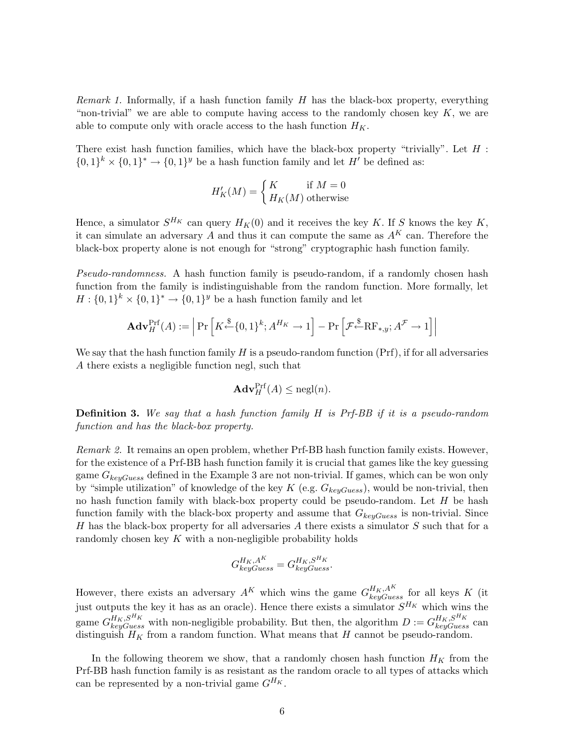*Remark 1.* Informally, if a hash function family  $H$  has the black-box property, everything "non-trivial" we are able to compute having access to the randomly chosen key  $K$ , we are able to compute only with oracle access to the hash function  $H_K$ .

There exist hash function families, which have the black-box property "trivially". Let  $H$ :  $\{0,1\}^k \times \{0,1\}^* \to \{0,1\}^y$  be a hash function family and let H' be defined as:

$$
H'_{K}(M) = \begin{cases} K & \text{if } M = 0\\ H_{K}(M) & \text{otherwise} \end{cases}
$$

Hence, a simulator  $S^{H_K}$  can query  $H_K(0)$  and it receives the key K. If S knows the key K, it can simulate an adversary  $\overline{A}$  and thus it can compute the same as  $A^K$  can. Therefore the black-box property alone is not enough for "strong" cryptographic hash function family.

Pseudo-randomness. A hash function family is pseudo-random, if a randomly chosen hash function from the family is indistinguishable from the random function. More formally, let  $H: \{0,1\}^k \times \{0,1\}^* \rightarrow \{0,1\}^y$  be a hash function family and let

$$
\mathbf{Adv}_{H}^{\mathrm{Prf}}(A) := \left| \Pr \left[ K \stackrel{\$}{\leftarrow} \{0,1\}^{k}; A^{H_K} \to 1 \right] - \Pr \left[ \mathcal{F} \stackrel{\$}{\leftarrow} \mathrm{RF}_{*,y}; A^{\mathcal{F}} \to 1 \right] \right|
$$

We say that the hash function family  $H$  is a pseudo-random function  $(Prf)$ , if for all adversaries A there exists a negligible function negl, such that

$$
\mathbf{Adv}_{H}^{\mathrm{Prf}}(A) \le \mathrm{negl}(n).
$$

**Definition 3.** We say that a hash function family  $H$  is Prf-BB if it is a pseudo-random function and has the black-box property.

Remark 2. It remains an open problem, whether Prf-BB hash function family exists. However, for the existence of a Prf-BB hash function family it is crucial that games like the key guessing game  $G_{keyGuess}$  defined in the Example 3 are not non-trivial. If games, which can be won only by "simple utilization" of knowledge of the key K (e.g.  $G_{keyGuess}$ ), would be non-trivial, then no hash function family with black-box property could be pseudo-random. Let  $H$  be hash function family with the black-box property and assume that  $G_{keyGuess}$  is non-trivial. Since H has the black-box property for all adversaries A there exists a simulator  $S$  such that for a randomly chosen key  $K$  with a non-negligible probability holds

$$
G^{H_K, A^K}_{keyGuess}=G^{H_K,S^{H_K}}_{keyGuess}.
$$

However, there exists an adversary  $A^K$  which wins the game  $G_{keyGuess}^{H_K, A^K}$  for all keys K (it just outputs the key it has as an oracle). Hence there exists a simulator  $S^{H_K}$  which wins the game  $G_{keyGuess}^{H_K, S^H_K}$  with non-negligible probability. But then, the algorithm  $D := G_{keyGuess}^{H_K, S^H_K}$  can distinguish  $H_K$  from a random function. What means that H cannot be pseudo-random.

In the following theorem we show, that a randomly chosen hash function  $H_K$  from the Prf-BB hash function family is as resistant as the random oracle to all types of attacks which can be represented by a non-trivial game  $G^{H_K}$ .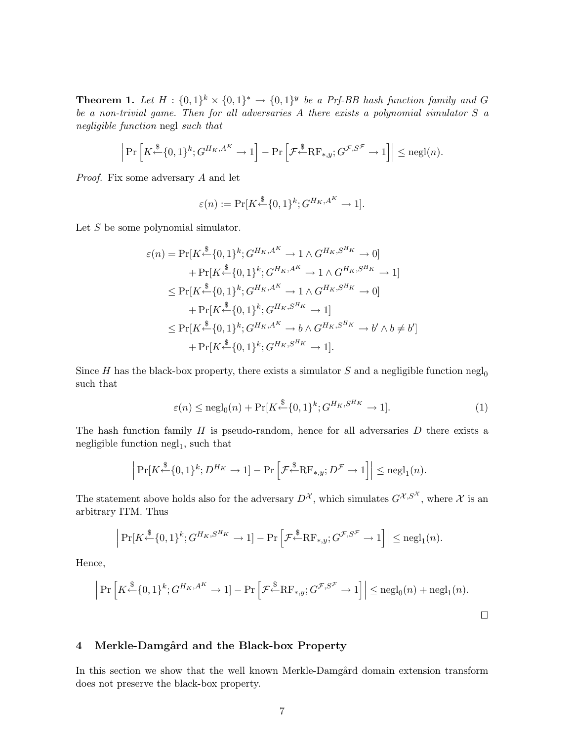**Theorem 1.** Let  $H: \{0,1\}^k \times \{0,1\}^* \rightarrow \{0,1\}^y$  be a Prf-BB hash function family and G be a non-trivial game. Then for all adversaries A there exists a polynomial simulator S a negligible function negl such that

$$
\left| \Pr \left[ K \xleftarrow{\$} \{0,1\}^k; G^{H_K, A^K} \to 1 \right] - \Pr \left[ \mathcal{F} \xleftarrow{\$} \mathsf{RF}_{*,y}; G^{\mathcal{F}, S^{\mathcal{F}}} \to 1 \right] \right| \le \mathrm{negl}(n).
$$

Proof. Fix some adversary A and let

$$
\varepsilon(n) := \Pr[K \stackrel{\$}{\leftarrow} \{0,1\}^k; G^{H_K, A^K} \to 1].
$$

Let  $S$  be some polynomial simulator.

$$
\varepsilon(n) = \Pr[K \stackrel{\$}{\leftarrow} \{0,1\}^k; G^{H_K, A^K} \to 1 \wedge G^{H_K, S^{H_K}} \to 0] + \Pr[K \stackrel{\$}{\leftarrow} \{0,1\}^k; G^{H_K, A^K} \to 1 \wedge G^{H_K, S^{H_K}} \to 1] \leq \Pr[K \stackrel{\$}{\leftarrow} \{0,1\}^k; G^{H_K, A^K} \to 1 \wedge G^{H_K, S^{H_K}} \to 0] + \Pr[K \stackrel{\$}{\leftarrow} \{0,1\}^k; G^{H_K, S^{H_K}} \to 1] \leq \Pr[K \stackrel{\$}{\leftarrow} \{0,1\}^k; G^{H_K, A^K} \to b \wedge G^{H_K, S^{H_K}} \to b' \wedge b \neq b + \Pr[K \stackrel{\$}{\leftarrow} \{0,1\}^k; G^{H_K, S^{H_K}} \to 1].
$$

Since H has the black-box property, there exists a simulator S and a negligible function negl<sub>0</sub> such that

$$
\varepsilon(n) \le \operatorname{negl}_0(n) + \Pr[K \stackrel{\$}{\leftarrow} \{0,1\}^k; G^{H_K, S^{H_K}} \to 1].
$$
 (1)

 $\sqrt{ }$ 

The hash function family  $H$  is pseudo-random, hence for all adversaries  $D$  there exists a negligible function  $negl_1$ , such that

$$
\left| \Pr[K \stackrel{\$}{\leftarrow} \{0,1\}^k; D^{H_K} \to 1] - \Pr\left[\mathcal{F} \stackrel{\$}{\leftarrow} \mathsf{RF}_{*,y}; D^{\mathcal{F}} \to 1] \right] \right| \leq \operatorname{negl}_1(n).
$$

The statement above holds also for the adversary  $D^{\mathcal{X}}$ , which simulates  $G^{\mathcal{X},S^{\mathcal{X}}}$ , where  $\mathcal{X}$  is an arbitrary ITM. Thus

$$
\left| \Pr[K^{\{8\}} \{0,1\}^k; G^{H_K,S^{H_K}} \to 1] - \Pr\left[\mathcal{F}^{\{8\}} \mathcal{R} \mathcal{F}_{*,y}; G^{\mathcal{F},S^{\mathcal{F}}} \to 1 \right] \right| \leq \operatorname{negl}_1(n).
$$

Hence,

$$
\left| \Pr \left[ K^{\frac{\$}{\leftarrow}} \{0,1\}^k; G^{H_K, A^K} \to 1 \right] - \Pr \left[ \mathcal{F}^{\frac{\$}{\leftarrow}} \mathrm{RF}_{*,y}; G^{\mathcal{F}, S^{\mathcal{F}}} \to 1 \right] \right| \leq \mathrm{negl}_0(n) + \mathrm{negl}_1(n).
$$

### 4 Merkle-Damgård and the Black-box Property

In this section we show that the well known Merkle-Damgård domain extension transform does not preserve the black-box property.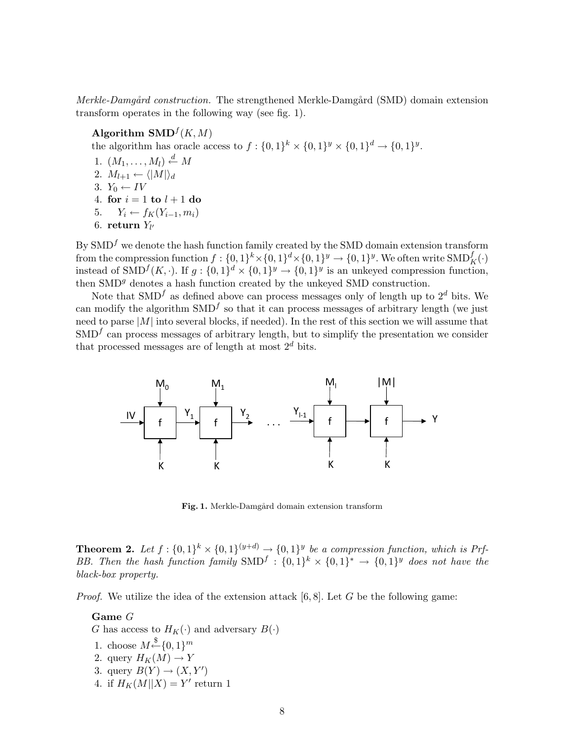*Merkle-Damgård construction.* The strengthened Merkle-Damgård (SMD) domain extension transform operates in the following way (see fig. 1).

# Algorithm  $\mathbf{SMD}^f(K,M)$

the algorithm has oracle access to  $f: \{0,1\}^k \times \{0,1\}^y \times \{0,1\}^d \rightarrow \{0,1\}^y$ .

1.  $(M_1, \ldots, M_l) \stackrel{d}{\leftarrow} M$ 2.  $M_{l+1} \leftarrow \langle |M|\rangle_d$ 3.  $Y_0 \leftarrow IV$ 4. for  $i = 1$  to  $l + 1$  do 5.  $Y_i \leftarrow f_K(Y_{i-1}, m_i)$ 6. return  $Y_{l'}$ 

By  $\text{SMD}^f$  we denote the hash function family created by the SMD domain extension transform from the compression function  $f: \{0,1\}^k \times \{0,1\}^d \times \{0,1\}^y \rightarrow \{0,1\}^y$ . We often write  $\text{SMD}_K^f(\cdot)$ instead of SMD<sup>f</sup>(K, ·). If  $g: \{0,1\}^d \times \{0,1\}^y \rightarrow \{0,1\}^y$  is an unkeyed compression function, then  $SMD<sup>g</sup>$  denotes a hash function created by the unkeyed  $SMD$  construction.

Note that  $\text{SMD}^f$  as defined above can process messages only of length up to  $2^d$  bits. We can modify the algorithm  $\text{SMD}^f$  so that it can process messages of arbitrary length (we just need to parse  $|M|$  into several blocks, if needed). In the rest of this section we will assume that  $SMD<sup>f</sup>$  can process messages of arbitrary length, but to simplify the presentation we consider that processed messages are of length at most  $2^d$  bits.



Fig. 1. Merkle-Damgård domain extension transform

**Theorem 2.** Let  $f: \{0,1\}^k \times \{0,1\}^{(y+d)} \to \{0,1\}^y$  be a compression function, which is Prf-BB. Then the hash function family  $SMD^{f}: \{0,1\}^{k} \times \{0,1\}^{*} \rightarrow \{0,1\}^{y}$  does not have the black-box property.

*Proof.* We utilize the idea of the extension attack [6, 8]. Let G be the following game:

## Game G

G has access to  $H_K(\cdot)$  and adversary  $B(\cdot)$ 1. choose  $M \xleftarrow{\$} \{0,1\}^m$ 2. query  $H_K(M) \to Y$ 3. query  $B(Y) \to (X, Y')$ 4. if  $H_K(M||X) = Y'$  return 1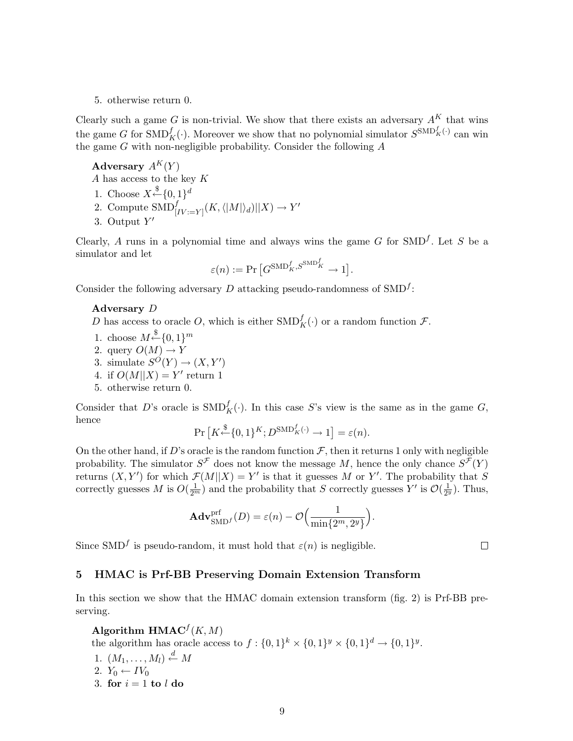5. otherwise return 0.

Clearly such a game G is non-trivial. We show that there exists an adversary  $A^K$  that wins the game G for  $\text{SMD}_{K}^{f}(\cdot)$ . Moreover we show that no polynomial simulator  $S^{\text{SMD}_{K}^{f}(\cdot)}$  can win the game  $G$  with non-negligible probability. Consider the following  $A$ 

Adversary  $A^K(Y)$ 

 $A$  has access to the key  $K$ 

- 1. Choose  $X \xleftarrow{\$} \{0,1\}^d$
- 2. Compute  $\text{SMD}_{[IV:=Y]}^f(K,\langle |M|\rangle_d)| |X\rangle \to Y'$
- 3. Output  $Y'$

Clearly, A runs in a polynomial time and always wins the game G for  $\text{SMD}^f$ . Let S be a simulator and let

$$
\varepsilon(n) := \Pr\left[G^{\text{SMD}_{K}^{f}, S^{\text{SMD}_{K}^{f}}}\to 1\right].
$$

Consider the following adversary  $D$  attacking pseudo-randomness of  $\text{SMD}^f$ :

## Adversary D

D has access to oracle O, which is either  $\text{SMD}_{K}^{f}(\cdot)$  or a random function  $\mathcal{F}$ .

- 1. choose  $M \xleftarrow{\$} \{0,1\}^m$
- 2. query  $O(M) \to Y$
- 3. simulate  $S^{O}(Y) \to (X, Y')$
- 4. if  $O(M||X) = Y'$  return 1
- 5. otherwise return 0.

Consider that D's oracle is  $\text{SMD}_{K}^{f}(\cdot)$ . In this case S's view is the same as in the game G, hence

$$
\Pr\left[K \stackrel{\$}{\leftarrow} \{0,1\}^K; D^{\text{SMD}_{K}^f(\cdot)} \to 1\right] = \varepsilon(n).
$$

On the other hand, if D's oracle is the random function  $\mathcal{F}$ , then it returns 1 only with negligible probability. The simulator  $S^{\mathcal{F}}$  does not know the message M, hence the only chance  $S^{\mathcal{F}}(Y)$ returns  $(X, Y')$  for which  $\mathcal{F}(M||X) = Y'$  is that it guesses M or Y'. The probability that S correctly guesses M is  $O(\frac{1}{2^m})$  and the probability that S correctly guesses Y' is  $\mathcal{O}(\frac{1}{2^n})$  $\frac{1}{2^y}$ ). Thus,

$$
\mathbf{Adv}^{\mathrm{prf}}_{\mathrm{SMD}^f}(D) = \varepsilon(n) - \mathcal{O}\Big(\frac{1}{\min\{2^m, 2^y\}}\Big).
$$

Since SMD<sup>f</sup> is pseudo-random, it must hold that  $\varepsilon(n)$  is negligible.

#### $\Box$

## 5 HMAC is Prf-BB Preserving Domain Extension Transform

In this section we show that the HMAC domain extension transform (fig. 2) is Prf-BB preserving.

# Algorithm  $\mathbf{HMAC}^{f}(K, M)$

the algorithm has oracle access to  $f: \{0,1\}^k \times \{0,1\}^y \times \{0,1\}^d \to \{0,1\}^y$ . 1.  $(M_1, \ldots, M_l) \stackrel{d}{\leftarrow} M$ 2.  $Y_0 \leftarrow IV_0$ 3. for  $i = 1$  to  $l$  do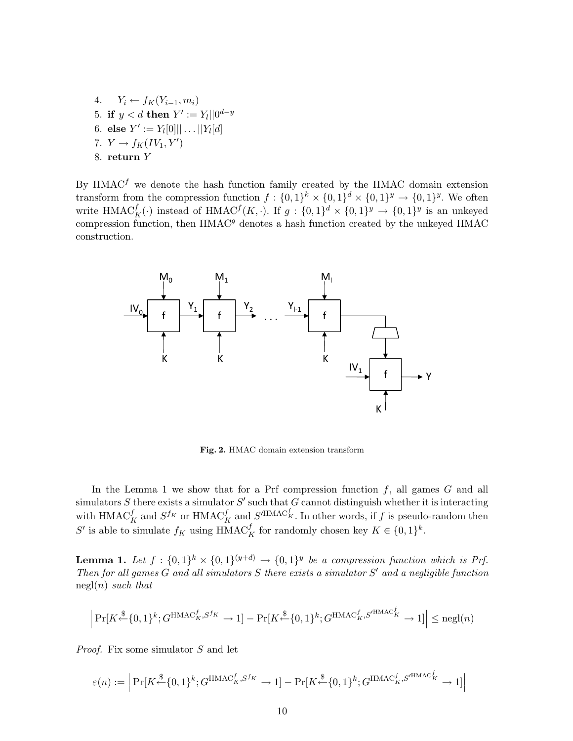4.  $Y_i \leftarrow f_K(Y_{i-1}, m_i)$ 5. if  $y < d$  then  $Y' := Y_l || 0^{d-y}$ 6. else  $Y' := Y_l[0] || \dots || Y_l[d]$ 7.  $Y \to f_K(IV_1, Y')$ 8. return Y

By  $HMAC<sup>f</sup>$  we denote the hash function family created by the HMAC domain extension transform from the compression function  $f: \{0,1\}^k \times \{0,1\}^d \times \{0,1\}^y \to \{0,1\}^y$ . We often write  $\text{HMAC}_{K}^{f}(\cdot)$  instead of  $\text{HMAC}^{f}(K, \cdot)$ . If  $g: \{0, 1\}^{d} \times \{0, 1\}^{y} \to \{0, 1\}^{y}$  is an unkeyed compression function, then  $HMAC<sup>g</sup>$  denotes a hash function created by the unkeyed  $HMAC$ construction.



Fig. 2. HMAC domain extension transform

In the Lemma 1 we show that for a Prf compression function  $f$ , all games  $G$  and all simulators S there exists a simulator  $S'$  such that G cannot distinguish whether it is interacting with  $\text{HMAC}_{K}^{f}$  and  $S^{f_K}$  or  $\text{HMAC}_{K}^{f}$  and  $S'^{\text{HMAC}_{K}^{f}}$ . In other words, if f is pseudo-random then S' is able to simulate  $f_K$  using HMAC<sup> $f$ </sup><sub>K</sub> for randomly chosen key  $K \in \{0,1\}^k$ .

**Lemma 1.** Let  $f: \{0,1\}^k \times \{0,1\}^{(y+d)} \rightarrow \{0,1\}^y$  be a compression function which is Prf. Then for all games  $G$  and all simulators  $S$  there exists a simulator  $S'$  and a negligible function  $negl(n)$  such that

$$
\Big|\Pr[K^{\frac{8}{5}}\{0,1\}^k; G^{\textrm{HMAC}^f_K, S^{f_K}}\rightarrow 1] - \Pr[K^{\frac{8}{5}}\{0,1\}^k; G^{\textrm{HMAC}^f_K, S'^{\textrm{HMAC}^f_K}}\rightarrow 1]\Big| \leq \textrm{negl}(n)
$$

Proof. Fix some simulator S and let

$$
\varepsilon(n):=\Big|\Pr[K^{\text{\textcircled{s}}}_\leftarrow\{0,1\}^k;G^{\text{HMAC}^f_K,S^{f_K}}\to 1]-\Pr[K^{\text{\textcircled{s}}}_\leftarrow\{0,1\}^k;G^{\text{HMAC}^f_K,S^{\prime \text{HMAC}^f_K}}\to 1]\Big|
$$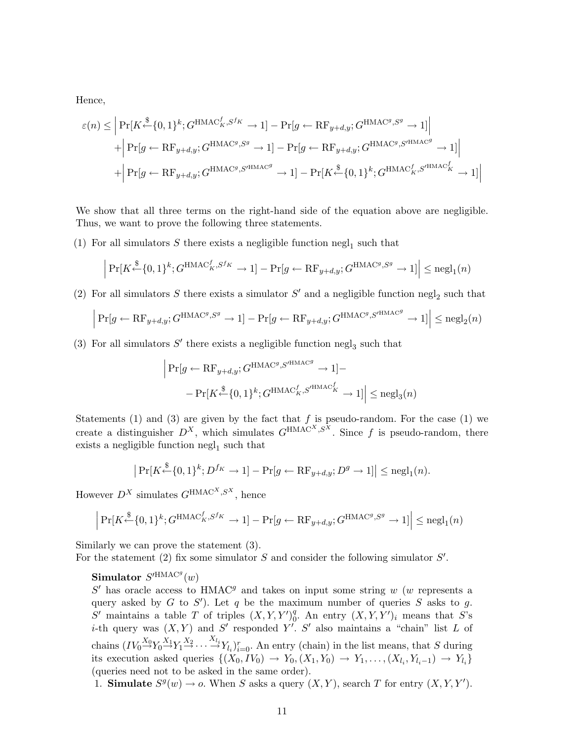Hence,

$$
\varepsilon(n) \leq \left| \Pr[K \stackrel{\$}{\leftarrow} \{0,1\}^k; G^{\text{HMAC}_{K}, S^{\text{f}_{K}}} \to 1] - \Pr[g \leftarrow \text{RF}_{y+d,y}; G^{\text{HMAC}^{g}, S^{g}} \to 1] \right|
$$
  
+ 
$$
\left| \Pr[g \leftarrow \text{RF}_{y+d,y}; G^{\text{HMAC}^{g}, S^{g}} \to 1] - \Pr[g \leftarrow \text{RF}_{y+d,y}; G^{\text{HMAC}^{g}, S^{\prime \text{HMAC}^{g}} } \to 1] \right|
$$
  
+ 
$$
\left| \Pr[g \leftarrow \text{RF}_{y+d,y}; G^{\text{HMAC}^{g}, S^{\prime \text{HMAC}^{g}} } \to 1] - \Pr[K \stackrel{\$}{\leftarrow} \{0,1\}^k; G^{\text{HMAC}^{f}, S^{\prime \text{HMAC}^{f}} } \to 1] \right|
$$

We show that all three terms on the right-hand side of the equation above are negligible. Thus, we want to prove the following three statements.

(1) For all simulators S there exists a negligible function  $\text{negl}_1$  such that

$$
\left| \Pr[K \stackrel{\$}{\leftarrow} \{0,1\}^k; G^{\text{HMAC}_{K}^f, S^f K} \to 1] - \Pr[g \leftarrow \text{RF}_{y+d,y}; G^{\text{HMAC}^g, S^g} \to 1] \right| \leq \text{negl}_1(n)
$$

(2) For all simulators S there exists a simulator  $S'$  and a negligible function negl<sub>2</sub> such that

$$
\left| \Pr[g \leftarrow \mathrm{RF}_{y+d,y}; G^{\mathrm{HMAC}^g, S^g} \to 1] - \Pr[g \leftarrow \mathrm{RF}_{y+d,y}; G^{\mathrm{HMAC}^g, S^{\prime \mathrm{HMAC}^g}} \to 1] \right| \leq \mathrm{negl}_2(n)
$$

(3) For all simulators  $S'$  there exists a negligible function negl<sub>3</sub> such that

$$
\left| \Pr[g \leftarrow \mathrm{RF}_{y+d,y}; G^{\mathrm{HMAC}^g, S^{\prime \mathrm{HMAC}^g}} \rightarrow 1] - \right|
$$
  
- 
$$
\left| \Pr[K \stackrel{\$}{\leftarrow} \{0,1\}^k; G^{\mathrm{HMAC}^f_K, S^{\prime \mathrm{HMAC}^f_K}} \rightarrow 1] \right| \leq \mathrm{negl}_3(n)
$$

Statements (1) and (3) are given by the fact that  $f$  is pseudo-random. For the case (1) we create a distinguisher  $D^X$ , which simulates  $G^{HMAC^X, S^X}$ . Since f is pseudo-random, there exists a negligible function  $\operatorname{negl}_1$  such that

$$
\left| \Pr[K \stackrel{\$}{\leftarrow} \{0,1\}^k; D^{f_K} \to 1] - \Pr[g \leftarrow \mathcal{RF}_{y+d,y}; D^g \to 1] \right| \leq \operatorname{negl}_1(n).
$$

However  $D^X$  simulates  $G^{\text{HMAC}^X, S^X}$ , hence

$$
\left| \Pr[K \stackrel{\$}{\leftarrow} \{0,1\}^k; G^{\text{HMAC}_{K}^f, S^f K} \to 1] - \Pr[g \leftarrow \text{RF}_{y+d,y}; G^{\text{HMAC}^g, S^g} \to 1] \right| \leq \text{negl}_{1}(n)
$$

Similarly we can prove the statement (3).

For the statement (2) fix some simulator  $S$  and consider the following simulator  $S'$ .

# $\mathbf{Simulator}\ \ \textit{S}'^{\mathrm{HMAC}^g}(w)$

 $S'$  has oracle access to HMAC<sup>g</sup> and takes on input some string w (w represents a query asked by  $G$  to  $S'$ ). Let  $q$  be the maximum number of queries  $S$  asks to  $g$ . S' maintains a table T of triples  $(X, Y, Y')_0^q$  $_{0}^{q}$ . An entry  $(X, Y, Y')_{i}$  means that S's *i*-th query was  $(X, Y)$  and S' responded Y'. S' also maintains a "chain" list L of chains  $(IV_0 \xrightarrow{X_0} Y_0 \xrightarrow{X_1} Y_1 \xrightarrow{X_2} \cdots \xrightarrow{X_l} Y_{l_i})_{i=0}^r$ . An entry (chain) in the list means, that S during its execution asked queries  $\{(X_0, IV_0) \rightarrow Y_0, (X_1, Y_0) \rightarrow Y_1, \ldots, (X_{l_i}, Y_{l_i-1}) \rightarrow Y_{l_i}\}\$ (queries need not to be asked in the same order).

1. Simulate  $S^g(w) \to o$ . When S asks a query  $(X, Y)$ , search T for entry  $(X, Y, Y')$ .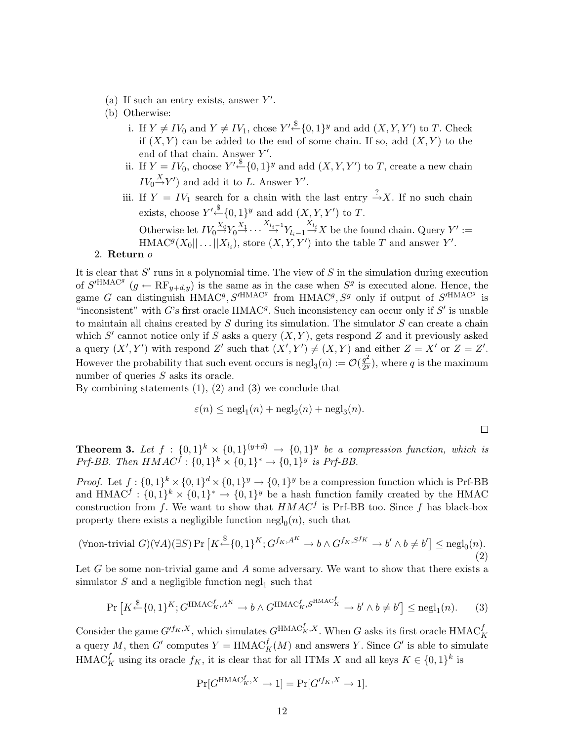- (a) If such an entry exists, answer  $Y'$ .
- (b) Otherwise:
	- i. If  $Y \neq IV_0$  and  $Y \neq IV_1$ , chose  $Y' \stackrel{\$}{\leftarrow} \{0,1\}^y$  and add  $(X, Y, Y')$  to T. Check if  $(X, Y)$  can be added to the end of some chain. If so, add  $(X, Y)$  to the end of that chain. Answer  $Y'$ .
	- ii. If  $Y = IV_0$ , choose  $Y' \stackrel{\$}{\leftarrow} \{0,1\}^y$  and add  $(X, Y, Y')$  to T, create a new chain  $IV_0 \overset{X}{\rightarrow} Y'$  and add it to L. Answer Y'.
	- iii. If  $Y = IV_1$  search for a chain with the last entry  $\stackrel{?}{\rightarrow} X$ . If no such chain exists, choose  $Y' \stackrel{\$}{\leftarrow} \{0,1\}^y$  and add  $(X, Y, Y')$  to T. Otherwise let  $IV_0 \xrightarrow{X_0} Y_0 \xrightarrow{X_1} \cdots \xrightarrow{X_{l_i-1}} Y_{l_i-1} \xrightarrow{X_{l_i}} X$  be the found chain. Query  $Y' :=$  $\text{HMAC}^g(X_0||...||X_{l_i}),$  store  $(X, Y, Y')$  into the table T and answer Y'.

#### 2. Return o

It is clear that  $S'$  runs in a polynomial time. The view of  $S$  in the simulation during execution of  $S'^{\text{HMAC}g}$  ( $g \leftarrow \text{RF}_{y+d,y}$ ) is the same as in the case when  $S^g$  is executed alone. Hence, the game G can distinguish HMAC<sup>g</sup>, S<sup>'HMAC'</sub> from HMAC<sup>g</sup>, S<sup>g</sup> only if output of S'<sup>HMAC'</sup> is</sup> "inconsistent" with  $G$ 's first oracle HMAC<sup> $g$ </sup>. Such inconsistency can occur only if  $S'$  is unable to maintain all chains created by  $S$  during its simulation. The simulator  $S$  can create a chain which  $S'$  cannot notice only if S asks a query  $(X, Y)$ , gets respond Z and it previously asked a query  $(X', Y')$  with respond Z' such that  $(X', Y') \neq (X, Y)$  and either  $Z = X'$  or  $Z = Z'$ . However the probability that such event occurs is  $\mathrm{negl}_3(n) := \mathcal{O}(\frac{q^2}{2^y})$  $\frac{q^2}{2^y}$ , where q is the maximum number of queries  $S$  asks its oracle.

By combining statements  $(1)$ ,  $(2)$  and  $(3)$  we conclude that

$$
\varepsilon(n) \le \operatorname{negl}_1(n) + \operatorname{negl}_2(n) + \operatorname{negl}_3(n).
$$

 $\Box$ 

**Theorem 3.** Let  $f : \{0,1\}^k \times \{0,1\}^{(y+d)} \rightarrow \{0,1\}^y$  be a compression function, which is Prf-BB. Then  $HMAC^{f}: \{0,1\}^{k} \times \{0,1\}^{*} \rightarrow \{0,1\}^{y}$  is Prf-BB.

*Proof.* Let  $f: \{0,1\}^k \times \{0,1\}^d \times \{0,1\}^y \rightarrow \{0,1\}^y$  be a compression function which is Prf-BB and HMAC<sup>f</sup>:  $\{0,1\}^k \times \{0,1\}^s \rightarrow \{0,1\}^y$  be a hash function family created by the HMAC construction from f. We want to show that  $HMAC<sup>f</sup>$  is Prf-BB too. Since f has black-box property there exists a negligible function  $\text{negl}_0(n)$ , such that

$$
(\forall \text{non-trivial } G)(\forall A)(\exists S) \Pr\left[K \stackrel{\$}{\leftarrow} \{0,1\}^K; G^{f_K, A^K} \to b \land G^{f_K, S^{f_K}} \to b' \land b \neq b'\right] \leq \text{negl}_0(n). \tag{2}
$$

Let G be some non-trivial game and A some adversary. We want to show that there exists a simulator  $S$  and a negligible function negl<sub>1</sub> such that

$$
\Pr\left[K^{\frac{\$}{\leftarrow}}\{0,1\}^K; G^{\text{HMAC}_{K}^f, A^K} \to b \land G^{\text{HMAC}_{K}^f, S^{\text{HMAC}_{K}^f}} \to b' \land b \neq b'\right] \leq \text{negl}_1(n). \tag{3}
$$

Consider the game  $G'^{f_K,X}$ , which simulates  $G^{\text{HMAC}_{K}^{f,X}}$ . When G asks its first oracle  $\text{HMAC}_{K}^{f}$ a query M, then G' computes  $Y = \text{HMAC}_{K}^{f}(M)$  and answers Y. Since G' is able to simulate HMAC<sup>f</sup><sub>K</sub> using its oracle  $f_K$ , it is clear that for all ITMs X and all keys  $K \in \{0,1\}^k$  is

$$
\Pr[G^{\mathsf{HMAC}^f_K, X} \to 1] = \Pr[G'^{f_K, X} \to 1].
$$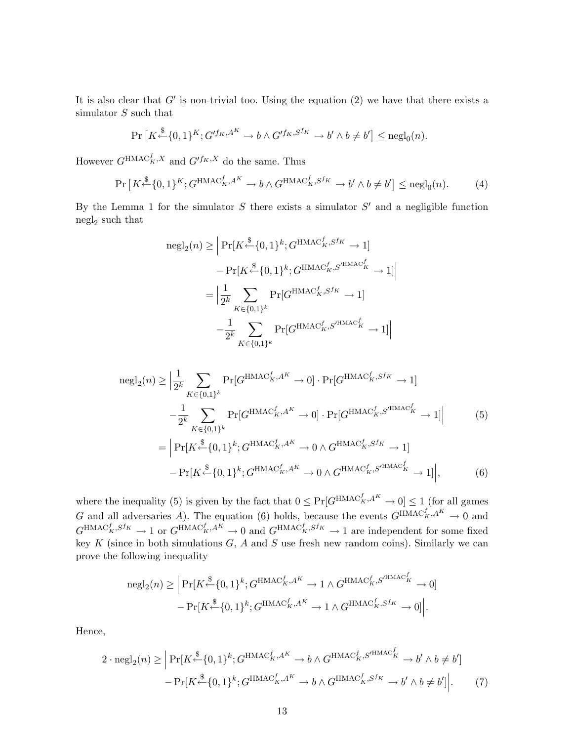It is also clear that  $G'$  is non-trivial too. Using the equation (2) we have that there exists a simulator  $S$  such that

$$
\Pr\left[K \xleftarrow{\$} \{0,1\}^K; G'^{f_K, A^K} \to b \land G'^{f_K, S^{f_K}} \to b' \land b \neq b'\right] \leq \operatorname{negl}_0(n).
$$

However  $G^{\text{HMAC}_{K}^{f}, X}$  and  $G'^{f_{K}, X}$  do the same. Thus

$$
\Pr\left[K \stackrel{\$}{\leftarrow} \{0,1\}^K; G^{\text{HMAC}_{K}^f, A^K} \to b \land G^{\text{HMAC}_{K}^f, S^f K} \to b' \land b \neq b'\right] \leq \text{negl}_0(n). \tag{4}
$$

By the Lemma 1 for the simulator  $S$  there exists a simulator  $S'$  and a negligible function  $\operatorname{negl}_2$  such that

$$
\begin{aligned} \text{negl}_{2}(n) &\geq \Big| \Pr[K \xleftarrow{\$} \{0, 1\}^{k}; G^{\text{HMAC}_{K}^{f}, S^{f_{K}}} \to 1] \\ &- \Pr[K \xleftarrow{\$} \{0, 1\}^{k}; G^{\text{HMAC}_{K}^{f}, S'^{\text{HMAC}_{K}^{f}} } \to 1] \Big| \\ &= \Big| \frac{1}{2^{k}} \sum_{K \in \{0, 1\}^{k}} \Pr[G^{\text{HMAC}_{K}^{f}, S^{f_{K}}} \to 1] \\ &- \frac{1}{2^{k}} \sum_{K \in \{0, 1\}^{k}} \Pr[G^{\text{HMAC}_{K}^{f}, S'^{\text{HMAC}_{K}^{f}} } \to 1] \Big| \end{aligned}
$$

$$
\begin{split} \text{negl}_{2}(n) &\geq \Big| \frac{1}{2^{k}} \sum_{K \in \{0,1\}^{k}} \Pr[G^{\text{HMAC}_{K}^{f}, A^{K}} \to 0] \cdot \Pr[G^{\text{HMAC}_{K}^{f}, S^{f_{K}}} \to 1] \\ &\quad - \frac{1}{2^{k}} \sum_{K \in \{0,1\}^{k}} \Pr[G^{\text{HMAC}_{K}^{f}, A^{K}} \to 0] \cdot \Pr[G^{\text{HMAC}_{K}^{f}, S'^{\text{HMAC}_{K}}} \to 1] \Big| \\ &= \Big| \Pr[K \stackrel{\$}{\leftarrow} \{0,1\}^{k}; G^{\text{HMAC}_{K}^{f}, A^{K}} \to 0 \land G^{\text{HMAC}_{K}^{f}, S^{f_{K}}} \to 1] \\ &\quad - \Pr[K \stackrel{\$}{\leftarrow} \{0,1\}^{k}; G^{\text{HMAC}_{K}^{f}, A^{K}} \to 0 \land G^{\text{HMAC}_{K}^{f}, S'^{\text{HMAC}_{K}^{f}}} \to 1] \Big|, \end{split} \tag{6}
$$

where the inequality (5) is given by the fact that  $0 \leq \Pr[G^{HMAC}_{K}^{f}, A^{K} \to 0] \leq 1$  (for all games G and all adversaries A). The equation (6) holds, because the events  $G^{HMAC}_{K}$ ,  $A^{K} \rightarrow 0$  and  $G^{\text{HMAC}_{K}^{f},S^{f_{K}}} \to 1$  or  $G^{\text{HMAC}_{K}^{f},A^{K}} \to 0$  and  $G^{\text{HMAC}_{K}^{f},S^{f_{K}}} \to 1$  are independent for some fixed key K (since in both simulations  $G$ , A and S use fresh new random coins). Similarly we can prove the following inequality

$$
\begin{split} \mathrm{negl}_2(n) &\geq \Big|\Pr[K\overset{\$}{\leftarrow}\{0,1\}^k; G^{\mathrm{HMAC}^f_K, A^K} \to 1 \wedge G^{\mathrm{HMAC}^f_K, S'^{\mathrm{HMAC}^f_K}} \to 0] \\ &\quad - \Pr[K\overset{\$}{\leftarrow}\{0,1\}^k; G^{\mathrm{HMAC}^f_K, A^K} \to 1 \wedge G^{\mathrm{HMAC}^f_K, S^{f_K}} \to 0] \Big|. \end{split}
$$

Hence,

$$
2 \cdot \operatorname{negl}_2(n) \ge \left| \Pr[K^{\frac{\$}{\leftarrow}}\{0,1\}^k; G^{\operatorname{HMAC}_{K}^f, A^K} \to b \wedge G^{\operatorname{HMAC}_{K}^f, S'^{\operatorname{HMAC}_{K}^f}} \to b' \wedge b \ne b' \right| \right|
$$
  
- 
$$
\left| \Pr[K^{\frac{\$}{\leftarrow}}\{0,1\}^k; G^{\operatorname{HMAC}_{K}^f, A^K} \to b \wedge G^{\operatorname{HMAC}_{K}^f, S^f K} \to b' \wedge b \ne b' \right| \right|.
$$
 (7)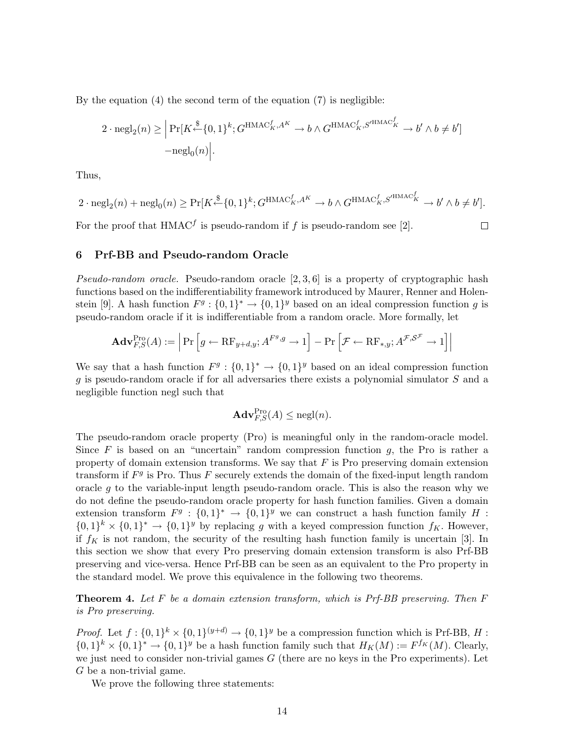By the equation  $(4)$  the second term of the equation  $(7)$  is negligible:

$$
2 \cdot \operatorname{negl}_2(n) \ge \left| \Pr[K \stackrel{\$}{\leftarrow} \{0,1\}^k; G^{\operatorname{HMAC}_{K}^f, A^K} \to b \wedge G^{\operatorname{HMAC}_{K}^f, S^{\prime \operatorname{HMAC}_{K}^f}} \to b' \wedge b \ne b' \right] - \operatorname{negl}_0(n) \right|.
$$

Thus,

$$
2 \cdot \mathrm{negl}_2(n) + \mathrm{negl}_0(n) \ge \Pr[K \xleftarrow{\$} \{0,1\}^k; G^{\mathrm{HMAC}_{K}^f, A^K} \to b \wedge G^{\mathrm{HMAC}_{K}^f, S'^{\mathrm{HMAC}_{K}^f}} \to b' \wedge b \ne b'].
$$

For the proof that HMAC<sup>f</sup> is pseudo-random if f is pseudo-random see [2].

 $\Box$ 

## 6 Prf-BB and Pseudo-random Oracle

*Pseudo-random oracle.* Pseudo-random oracle  $[2, 3, 6]$  is a property of cryptographic hash functions based on the indifferentiability framework introduced by Maurer, Renner and Holenstein [9]. A hash function  $F^g: \{0,1\}^* \to \{0,1\}^y$  based on an ideal compression function g is pseudo-random oracle if it is indifferentiable from a random oracle. More formally, let

$$
\mathbf{Adv}_{F,S}^{\mathrm{Pro}}(A) := \left| \Pr \left[ g \leftarrow \mathrm{RF}_{y+d,y}; A^{F^g,g} \to 1 \right] - \Pr \left[ \mathcal{F} \leftarrow \mathrm{RF}_{*,y}; A^{\mathcal{F}, \mathcal{S}^{\mathcal{F}}} \to 1 \right] \right|
$$

We say that a hash function  $F^g: \{0,1\}^* \to \{0,1\}^g$  based on an ideal compression function g is pseudo-random oracle if for all adversaries there exists a polynomial simulator S and a negligible function negl such that

$$
\mathbf{Adv}_{F,S}^{\mathrm{Pro}}(A) \le \mathrm{negl}(n).
$$

The pseudo-random oracle property (Pro) is meaningful only in the random-oracle model. Since  $F$  is based on an "uncertain" random compression function  $g$ , the Pro is rather a property of domain extension transforms. We say that  $F$  is Pro preserving domain extension transform if  $F<sup>g</sup>$  is Pro. Thus F securely extends the domain of the fixed-input length random oracle g to the variable-input length pseudo-random oracle. This is also the reason why we do not define the pseudo-random oracle property for hash function families. Given a domain extension transform  $F^g: \{0,1\}^* \to \{0,1\}^g$  we can construct a hash function family H:  $\{0,1\}^k \times \{0,1\}^* \to \{0,1\}^y$  by replacing g with a keyed compression function  $f_K$ . However, if  $f_K$  is not random, the security of the resulting hash function family is uncertain [3]. In this section we show that every Pro preserving domain extension transform is also Prf-BB preserving and vice-versa. Hence Prf-BB can be seen as an equivalent to the Pro property in the standard model. We prove this equivalence in the following two theorems.

**Theorem 4.** Let F be a domain extension transform, which is  $Prf-BB$  preserving. Then F is Pro preserving.

*Proof.* Let  $f: \{0,1\}^k \times \{0,1\}^{(y+d)} \to \{0,1\}^y$  be a compression function which is Prf-BB, H:  $\{0,1\}^k \times \{0,1\}^* \to \{0,1\}^y$  be a hash function family such that  $H_K(M) := F^{f_K}(M)$ . Clearly, we just need to consider non-trivial games  $G$  (there are no keys in the Pro experiments). Let G be a non-trivial game.

We prove the following three statements: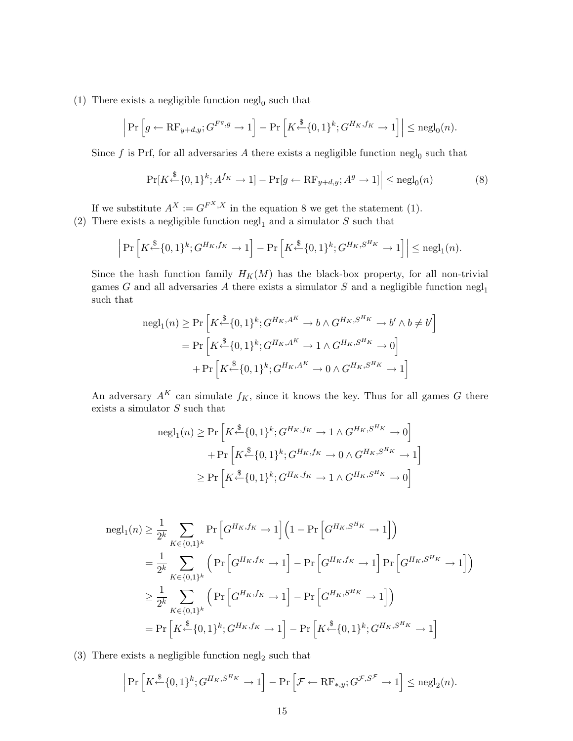(1) There exists a negligible function  $\operatorname{negl}_0$  such that

$$
\left| \Pr \left[ g \leftarrow \mathrm{RF}_{y+d,y}; G^{F^g,g} \to 1 \right] - \Pr \left[ K \stackrel{\$}{\leftarrow} \{0,1\}^k; G^{H_K, f_K} \to 1 \right] \right| \leq \mathrm{negl}_0(n).
$$

Since f is Prf, for all adversaries A there exists a negligible function  $\text{negl}_0$  such that

$$
\left| \Pr[K \stackrel{\$}{\leftarrow} \{0,1\}^k; A^{f_K} \to 1] - \Pr[g \leftarrow \mathrm{RF}_{y+d,y}; A^g \to 1] \right| \leq \mathrm{negl}_0(n) \tag{8}
$$

If we substitute  $A^X := G^{F^X, X}$  in the equation 8 we get the statement (1).

(2) There exists a negligible function  $\operatorname{negl}_1$  and a simulator S such that

$$
\left| \Pr \left[ K \xleftarrow{\$} \{0,1\}^k; G^{H_K, f_K} \to 1 \right] - \Pr \left[ K \xleftarrow{\$} \{0,1\}^k; G^{H_K, S^{H_K}} \to 1 \right] \right| \leq \operatorname{negl}_1(n).
$$

Since the hash function family  $H_K(M)$  has the black-box property, for all non-trivial games G and all adversaries A there exists a simulator S and a negligible function  $negl_1$ such that

$$
\begin{aligned} \operatorname{negl}_1(n) &\geq \operatorname{Pr}\left[ K^{\mathcal{L}} \{0,1\}^k; G^{H_K, A^K} \to b \land G^{H_K, S^{H_K}} \to b' \land b \neq b' \right] \\ &= \operatorname{Pr}\left[ K^{\mathcal{L}} \{0,1\}^k; G^{H_K, A^K} \to 1 \land G^{H_K, S^{H_K}} \to 0 \right] \\ &+ \operatorname{Pr}\left[ K^{\mathcal{L}} \{0,1\}^k; G^{H_K, A^K} \to 0 \land G^{H_K, S^{H_K}} \to 1 \right] \end{aligned}
$$

An adversary  $A^K$  can simulate  $f_K$ , since it knows the key. Thus for all games G there exists a simulator  $S$  such that

$$
\begin{aligned} \mathrm{negl}_1(n) &\geq \mathrm{Pr}\left[K \xleftarrow{\$} \{0,1\}^k; G^{H_K, f_K} \to 1 \wedge G^{H_K, S^{H_K}} \to 0\right] \\ &+ \mathrm{Pr}\left[K \xleftarrow{\$} \{0,1\}^k; G^{H_K, f_K} \to 0 \wedge G^{H_K, S^{H_K}} \to 1\right] \\ &\geq \mathrm{Pr}\left[K \xleftarrow{\$} \{0,1\}^k; G^{H_K, f_K} \to 1 \wedge G^{H_K, S^{H_K}} \to 0\right] \end{aligned}
$$

$$
\begin{split} \mathrm{negl}_{1}(n) &\geq \frac{1}{2^{k}} \sum_{K \in \{0,1\}^{k}} \mathrm{Pr}\left[G^{H_{K},f_{K}} \to 1\right] \left(1 - \mathrm{Pr}\left[G^{H_{K},S^{H_{K}}} \to 1\right]\right) \\ &= \frac{1}{2^{k}} \sum_{K \in \{0,1\}^{k}} \left(\mathrm{Pr}\left[G^{H_{K},f_{K}} \to 1\right] - \mathrm{Pr}\left[G^{H_{K},f_{K}} \to 1\right] \mathrm{Pr}\left[G^{H_{K},S^{H_{K}}} \to 1\right]\right) \\ &\geq \frac{1}{2^{k}} \sum_{K \in \{0,1\}^{k}} \left(\mathrm{Pr}\left[G^{H_{K},f_{K}} \to 1\right] - \mathrm{Pr}\left[G^{H_{K},S^{H_{K}}} \to 1\right]\right) \\ &= \mathrm{Pr}\left[K \stackrel{\$}{\leftarrow} \{0,1\}^{k}; G^{H_{K},f_{K}} \to 1\right] - \mathrm{Pr}\left[K \stackrel{\$}{\leftarrow} \{0,1\}^{k}; G^{H_{K},S^{H_{K}}} \to 1\right] \end{split}
$$

(3) There exists a negligible function  $\text{negl}_2$  such that

$$
\left| \Pr \left[ K \xleftarrow{\$} \{0,1\}^k; G^{H_K, S^{H_K}} \to 1 \right] - \Pr \left[ \mathcal{F} \leftarrow \mathrm{RF}_{*,y}; G^{\mathcal{F}, S^{\mathcal{F}}} \to 1 \right] \leq \mathrm{negl}_2(n).
$$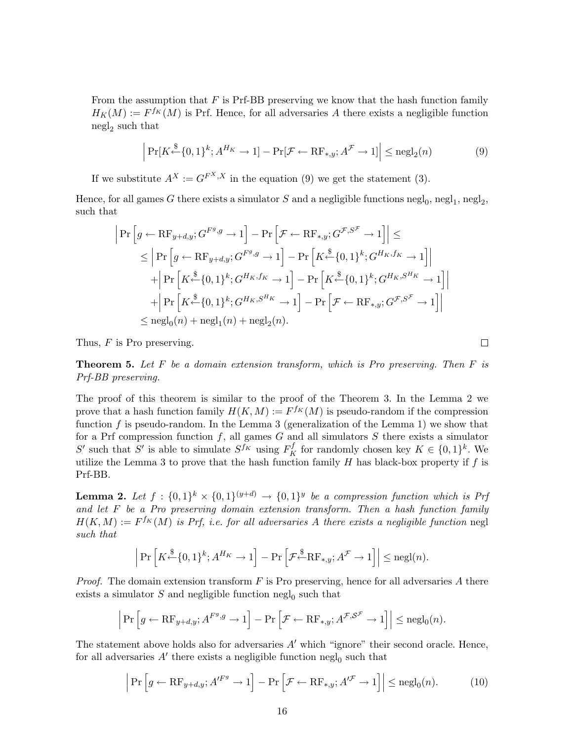From the assumption that  $F$  is Prf-BB preserving we know that the hash function family  $H_K(M) := F^{f_K}(M)$  is Prf. Hence, for all adversaries A there exists a negligible function  $\text{negl}_2$  such that

$$
\left| \Pr[K \stackrel{\$}{\leftarrow} \{0,1\}^k; A^{H_K} \to 1] - \Pr[\mathcal{F} \leftarrow \text{RF}_{*,y}; A^{\mathcal{F}} \to 1] \right| \leq \text{negl}_2(n) \tag{9}
$$

 $\Box$ 

If we substitute  $A^X := G^{F^X,X}$  in the equation (9) we get the statement (3).

Hence, for all games G there exists a simulator S and a negligible functions  $\mathrm{negl}_0$ ,  $\mathrm{negl}_1$ ,  $\mathrm{negl}_2$ , such that

$$
\begin{aligned}\n\left| \Pr \left[ g \leftarrow \mathrm{RF}_{y+d,y}; G^{F^g,g} \to 1 \right] - \Pr \left[ \mathcal{F} \leftarrow \mathrm{RF}_{*,y}; G^{\mathcal{F},S^{\mathcal{F}}} \to 1 \right] \right| &\leq \\
&\leq \left| \Pr \left[ g \leftarrow \mathrm{RF}_{y+d,y}; G^{F^g,g} \to 1 \right] - \Pr \left[ K \stackrel{\$}{\leftarrow} \{0,1\}^k; G^{H_K, f_K} \to 1 \right] \right| \\
&\quad + \left| \Pr \left[ K \stackrel{\$}{\leftarrow} \{0,1\}^k; G^{H_K, f_K} \to 1 \right] - \Pr \left[ K \stackrel{\$}{\leftarrow} \{0,1\}^k; G^{H_K, S^H_K} \to 1 \right] \right| \\
&\quad + \left| \Pr \left[ K \stackrel{\$}{\leftarrow} \{0,1\}^k; G^{H_K, S^H_K} \to 1 \right] - \Pr \left[ \mathcal{F} \leftarrow \mathrm{RF}_{*,y}; G^{\mathcal{F}, S^{\mathcal{F}}} \to 1 \right] \right| \\
&\leq \mathrm{negl}_0(n) + \mathrm{negl}_1(n) + \mathrm{negl}_2(n).\n\end{aligned}
$$

Thus, F is Pro preserving.

**Theorem 5.** Let  $F$  be a domain extension transform, which is Pro preserving. Then  $F$  is Prf-BB preserving.

The proof of this theorem is similar to the proof of the Theorem 3. In the Lemma 2 we prove that a hash function family  $H(K, M) := F^{f_K}(M)$  is pseudo-random if the compression function  $f$  is pseudo-random. In the Lemma 3 (generalization of the Lemma 1) we show that for a Prf compression function  $f$ , all games  $G$  and all simulators  $S$  there exists a simulator S' such that S' is able to simulate  $S^{f_K}$  using  $F_K^f$  for randomly chosen key  $K \in \{0,1\}^k$ . We utilize the Lemma 3 to prove that the hash function family  $H$  has black-box property if  $f$  is Prf-BB.

**Lemma 2.** Let  $f : \{0,1\}^k \times \{0,1\}^{(y+d)} \rightarrow \{0,1\}^y$  be a compression function which is Prf and let F be a Pro preserving domain extension transform. Then a hash function family  $H(K,M) := F^{f_K}(M)$  is Prf, i.e. for all adversaries A there exists a negligible function negl such that

$$
\left| \Pr \left[ K \xleftarrow{\$} \{0,1\}^k; A^{H_K} \to 1 \right] - \Pr \left[ \mathcal{F} \xleftarrow{\$} \mathsf{RF}_{*,y}; A^{\mathcal{F}} \to 1 \right] \right| \le \operatorname{negl}(n).
$$

*Proof.* The domain extension transform  $F$  is Pro preserving, hence for all adversaries  $A$  there exists a simulator  $S$  and negligible function  $negl_0$  such that

$$
\left| \Pr \left[ g \leftarrow \mathrm{RF}_{y+d,y}; A^{F^g,g} \to 1 \right] - \Pr \left[ \mathcal{F} \leftarrow \mathrm{RF}_{*,y}; A^{\mathcal{F}, \mathcal{S}^{\mathcal{F}}} \to 1 \right] \right| \leq \mathrm{negl}_0(n).
$$

The statement above holds also for adversaries  $A'$  which "ignore" their second oracle. Hence, for all adversaries  $A'$  there exists a negligible function  $\operatorname{negl}_0$  such that

$$
\left| \Pr \left[ g \leftarrow \mathrm{RF}_{y+d,y}; A^{\prime F^g} \to 1 \right] - \Pr \left[ \mathcal{F} \leftarrow \mathrm{RF}_{*,y}; A^{\prime \mathcal{F}} \to 1 \right] \right| \leq \mathrm{negl}_0(n). \tag{10}
$$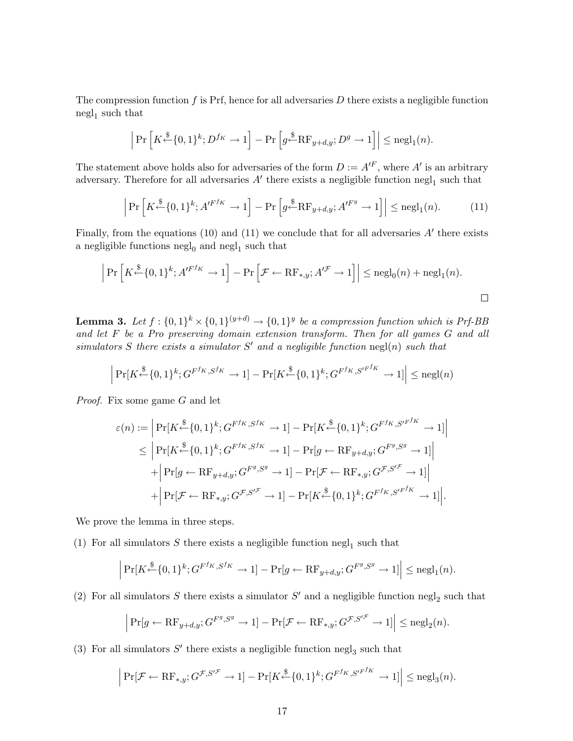The compression function  $f$  is Prf, hence for all adversaries  $D$  there exists a negligible function  $\operatorname{negl}_1$  such that

$$
\left| \Pr \left[ K \xleftarrow{\$} \{0,1\}^k; D^{f_K} \to 1 \right] - \Pr \left[ g \xleftarrow{\$} \mathsf{RF}_{y+d,y}; D^g \to 1 \right] \right| \leq \operatorname{negl}_1(n).
$$

The statement above holds also for adversaries of the form  $D := A'^F$ , where A' is an arbitrary adversary. Therefore for all adversaries  $A'$  there exists a negligible function negl<sub>1</sub> such that

$$
\left| \Pr \left[ K^{\frac{8}{5}} \{0,1\}^k; A'^{F^{f_K}} \to 1 \right] - \Pr \left[ g^{\frac{8}{5}} \mathcal{R} F_{y+d,y}; A'^{F^g} \to 1 \right] \right| \leq \operatorname{negl}_1(n). \tag{11}
$$

Finally, from the equations (10) and (11) we conclude that for all adversaries  $A'$  there exists a negligible functions  ${\mathop{\mathrm{negl}}}_0$  and  ${\mathop{\mathrm{negl}}}_1$  such that

$$
\left| \Pr \left[ K^{\frac{8}{5}} \{0,1\}^k; A'^{F^{f_K}} \to 1 \right] - \Pr \left[ \mathcal{F} \leftarrow \mathrm{RF}_{*,y}; A'^{\mathcal{F}} \to 1 \right] \right| \leq \mathrm{negl}_0(n) + \mathrm{negl}_1(n).
$$

**Lemma 3.** Let  $f: \{0,1\}^k \times \{0,1\}^{(y+d)} \to \{0,1\}^y$  be a compression function which is Prf-BB and let F be a Pro preserving domain extension transform. Then for all games G and all simulators S there exists a simulator S' and a negligible function  $negl(n)$  such that

$$
\left| \Pr[K \stackrel{\$}{\leftarrow} \{0,1\}^k; G^{F^f K, S^f K} \to 1] - \Pr[K \stackrel{\$}{\leftarrow} \{0,1\}^k; G^{F^f K, S'^{F^f K}} \to 1] \right| \leq \text{negl}(n)
$$

Proof. Fix some game G and let

$$
\varepsilon(n) := \left| \Pr[K \stackrel{\$}{\leftarrow} \{0,1\}^k; G^{F^{f_K}, S^{f_K}} \to 1] - \Pr[K \stackrel{\$}{\leftarrow} \{0,1\}^k; G^{F^{f_K}, S'^{F^f_K}} \to 1] \right|
$$
  
\n
$$
\leq \left| \Pr[K \stackrel{\$}{\leftarrow} \{0,1\}^k; G^{F^{f_K}, S^{f_K}} \to 1] - \Pr[g \leftarrow \mathrm{RF}_{y+d,y}; G^{F^g, S^g} \to 1] \right|
$$
  
\n
$$
+ \left| \Pr[g \leftarrow \mathrm{RF}_{y+d,y}; G^{F^g, S^g} \to 1] - \Pr[\mathcal{F} \leftarrow \mathrm{RF}_{*,y}; G^{\mathcal{F}, S'^{\mathcal{F}}} \to 1] \right|
$$
  
\n
$$
+ \left| \Pr[\mathcal{F} \leftarrow \mathrm{RF}_{*,y}; G^{\mathcal{F}, S'^{\mathcal{F}}} \to 1] - \Pr[K \stackrel{\$}{\leftarrow} \{0,1\}^k; G^{F^{f_K}, S'^{F^{f_K}}} \to 1] \right|.
$$

We prove the lemma in three steps.

(1) For all simulators S there exists a negligible function  $\text{negl}_1$  such that

$$
\left| \Pr[K \stackrel{\$}{\leftarrow} \{0,1\}^k; G^{F^f K}, S^{f K} \to 1] - \Pr[g \leftarrow \mathrm{RF}_{y+d,y}; G^{F^g, S^g} \to 1] \right| \leq \mathrm{negl}_1(n).
$$

(2) For all simulators S there exists a simulator  $S'$  and a negligible function negl<sub>2</sub> such that

$$
\left| \Pr[g \leftarrow \mathrm{RF}_{y+d,y}; G^{F^g, S^g} \to 1] - \Pr[\mathcal{F} \leftarrow \mathrm{RF}_{*,y}; G^{\mathcal{F}, S^{\prime\mathcal{F}}} \to 1] \right| \leq \mathrm{negl}_2(n).
$$

(3) For all simulators  $S'$  there exists a negligible function negl<sub>3</sub> such that

$$
\left| \Pr[\mathcal{F} \leftarrow \mathrm{RF}_{*,y}; G^{\mathcal{F},S^{\prime\mathcal{F}}}\rightarrow 1] - \Pr[K \stackrel{\$}{\leftarrow} \{0,1\}^k; G^{F^{\mathcal{f}_K},S^{\prime F^{\mathcal{f}_K}}}\rightarrow 1] \right| \leq \mathrm{negl}_3(n).
$$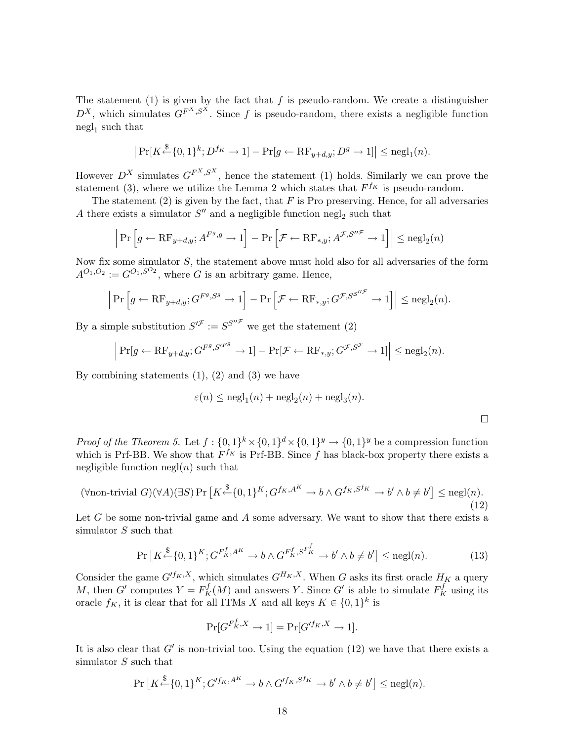The statement (1) is given by the fact that  $f$  is pseudo-random. We create a distinguisher  $D^X$ , which simulates  $G^{F^X,S^X}$ . Since f is pseudo-random, there exists a negligible function  $\operatorname{negl}_1$  such that

$$
\left| \Pr[K \stackrel{\$}{\leftarrow} \{0,1\}^k; D^{f_K} \to 1] - \Pr[g \leftarrow \mathcal{RF}_{y+d,y}; D^g \to 1] \right| \leq \operatorname{negl}_1(n).
$$

However  $D^X$  simulates  $G^{F^X,S^X}$ , hence the statement (1) holds. Similarly we can prove the statement (3), where we utilize the Lemma 2 which states that  $F^{f_K}$  is pseudo-random.

The statement  $(2)$  is given by the fact, that F is Pro preserving. Hence, for all adversaries A there exists a simulator  $S''$  and a negligible function  $\text{negl}_2$  such that

$$
\Big|\Pr\Big[g \leftarrow \mathrm{RF}_{y+d,y}; A^{F^g,g} \to 1\Big]-\Pr\Big[ \mathcal{F} \leftarrow \mathrm{RF}_{*,y}; A^{\mathcal{F},\mathcal{S}''^{\mathcal{F}}}\to 1 \Big]\Big| \leq \mathrm{negl}_2(n)
$$

Now fix some simulator  $S$ , the statement above must hold also for all adversaries of the form  $A^{O_1,O_2} := G^{O_1,S^{O_2}}$ , where G is an arbitrary game. Hence,

$$
\left| \Pr \left[ g \leftarrow \mathrm{RF}_{y+d,y}; G^{F^g, S^g} \to 1 \right] - \Pr \left[ \mathcal{F} \leftarrow \mathrm{RF}_{*,y}; G^{\mathcal{F}, S^{S''^{\mathcal{F}}}} \to 1 \right] \right| \leq \mathrm{negl}_2(n).
$$

By a simple substitution  $S^{I\mathcal{F}} := S^{S^{I\mathcal{F}}}$  we get the statement (2)

$$
\left| \Pr[g \leftarrow \mathrm{RF}_{y+d,y}; G^{F^g, S'^{F^g}} \to 1] - \Pr[\mathcal{F} \leftarrow \mathrm{RF}_{*,y}; G^{\mathcal{F}, S^{\mathcal{F}}} \to 1] \right| \leq \mathrm{negl}_2(n).
$$

By combining statements  $(1)$ ,  $(2)$  and  $(3)$  we have

$$
\varepsilon(n) \le \mathrm{negl}_1(n) + \mathrm{negl}_2(n) + \mathrm{negl}_3(n).
$$

 $\Box$ 

*Proof of the Theorem 5.* Let  $f: \{0,1\}^k \times \{0,1\}^d \times \{0,1\}^y \rightarrow \{0,1\}^y$  be a compression function which is Prf-BB. We show that  $F^{f_K}$  is Prf-BB. Since f has black-box property there exists a negligible function  $negl(n)$  such that

$$
(\forall \text{non-trivial } G)(\forall A)(\exists S) \Pr\left[K \stackrel{\$}{\leftarrow} \{0,1\}^K; G^{f_K, A^K} \to b \land G^{f_K, S^{f_K}} \to b' \land b \neq b'\right] \leq \text{negl}(n). \tag{12}
$$

Let G be some non-trivial game and A some adversary. We want to show that there exists a simulator S such that

$$
\Pr\left[K \xleftarrow{\$} \{0,1\}^K; G^{F^f_K, A^K} \to b \land G^{F^f_K, S^{F^f_K}} \to b' \land b \neq b'\right] \le \text{negl}(n). \tag{13}
$$

Consider the game  $G'^{f_K,X}$ , which simulates  $G^{H_K,X}$ . When G asks its first oracle  $H_K$  a query M, then G' computes  $Y = F_K^f(M)$  and answers Y. Since G' is able to simulate  $F_K^f$  using its oracle  $f_K$ , it is clear that for all ITMs X and all keys  $K \in \{0,1\}^k$  is

$$
\Pr[G^{F^f_K, X} \to 1] = \Pr[G'^{f_K, X} \to 1].
$$

It is also clear that  $G'$  is non-trivial too. Using the equation  $(12)$  we have that there exists a simulator S such that

$$
\Pr\left[K \xleftarrow{\$} \{0,1\}^K; G'^{f_K, A^K} \to b \land G'^{f_K, S^{f_K}} \to b' \land b \neq b'\right] \leq \operatorname{negl}(n).
$$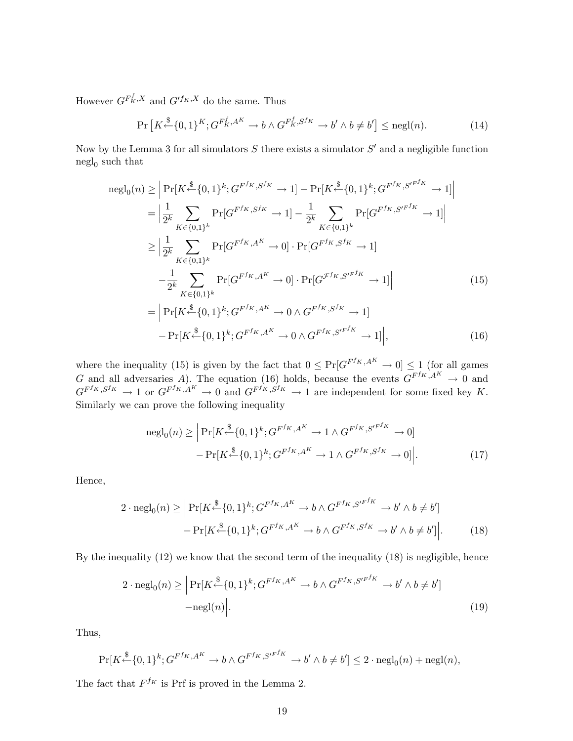However  $G^{F_{K}^f, X}$  and  $G'^{f_{K}, X}$  do the same. Thus

$$
\Pr\left[K \xleftarrow{\$} \{0,1\}^K; G^{F_K^f, A^K} \to b \land G^{F_K^f, S^f K} \to b' \land b \neq b'\right] \le \operatorname{negl}(n). \tag{14}
$$

Now by the Lemma 3 for all simulators  $S$  there exists a simulator  $S'$  and a negligible function  $\operatorname{negl}_0$  such that

$$
\begin{split} \n\text{negl}_{0}(n) &\geq \left| \Pr[K \xleftarrow{\$} \{0,1\}^{k}; G^{F^{f_{K}}, S^{f_{K}}} \to 1] - \Pr[K \xleftarrow{\$} \{0,1\}^{k}; G^{F^{f_{K}}, S'^{F^{f_{K}}} \to 1] \right| \\ \n&= \left| \frac{1}{2^{k}} \sum_{K \in \{0,1\}^{k}} \Pr[G^{F^{f_{K}}, S^{f_{K}}} \to 1] - \frac{1}{2^{k}} \sum_{K \in \{0,1\}^{k}} \Pr[G^{F^{f_{K}}, S'^{F^{f_{K}}} \to 1] \right| \\ \n&\geq \left| \frac{1}{2^{k}} \sum_{K \in \{0,1\}^{k}} \Pr[G^{F^{f_{K}}, A^{K}} \to 0] \cdot \Pr[G^{F^{f_{K}}, S^{f_{K}}} \to 1] \\ \n&\quad - \frac{1}{2^{k}} \sum_{K \in \{0,1\}^{k}} \Pr[G^{F^{f_{K}}, A^{K}} \to 0] \cdot \Pr[G^{F^{f_{K}}, S'^{F^{f_{K}}} \to 1] \\ \n&= \left| \Pr[K \xleftarrow{\$} \{0,1\}^{k}; G^{F^{f_{K}}, A^{K}} \to 0 \land G^{F^{f_{K}}, S^{f_{K}}} \to 1] \right| \\ \n&\quad - \Pr[K \xleftarrow{\$} \{0,1\}^{k}; G^{F^{f_{K}}, A^{K}} \to 0 \land G^{F^{f_{K}}, S'^{F^{f_{K}}} \to 1] \right|, \n\end{split} \n\tag{16}
$$

where the inequality (15) is given by the fact that  $0 \leq \Pr[G^{F^f K}, A^K \to 0] \leq 1$  (for all games G and all adversaries A). The equation (16) holds, because the events  $G^{F^fK,A^K} \to 0$  and  $G^{F^fK}, S^{f_K} \to 1$  or  $G^{F^fK}, A^K \to 0$  and  $G^{F^fK}, S^{f_K} \to 1$  are independent for some fixed key K. Similarly we can prove the following inequality

$$
\text{negl}_{0}(n) \ge \left| \Pr[K \stackrel{\$}{\leftarrow} \{0, 1\}^{k}; G^{F^{f_K}, A^K} \to 1 \land G^{F^{f_K}, S'^{F^{f_K}}} \to 0] - \Pr[K \stackrel{\$}{\leftarrow} \{0, 1\}^{k}; G^{F^{f_K}, A^K} \to 1 \land G^{F^{f_K}, S^{f_K}} \to 0] \right|.
$$
 (17)

Hence,

$$
2 \cdot \text{negl}_{0}(n) \ge \left| \Pr[K \stackrel{\$}{\leftarrow} \{0, 1\}^{k}; G^{F^{f_K}, A^K} \to b \land G^{F^{f_K}, S'^{F^{f_K}}} \to b' \land b \ne b'] - \Pr[K \stackrel{\$}{\leftarrow} \{0, 1\}^{k}; G^{F^{f_K}, A^K} \to b \land G^{F^{f_K}, S^{f_K}} \to b' \land b \ne b'] \right|.
$$
 (18)

By the inequality (12) we know that the second term of the inequality (18) is negligible, hence

$$
2 \cdot \operatorname{negl}_{0}(n) \ge \left| \Pr[K \stackrel{\$}{\leftarrow} \{0,1\}^{k}; G^{F^{f_K}, A^K} \to b \land G^{F^{f_K}, S'^{F^{f_K}}} \to b' \land b \ne b'] -\operatorname{negl}(n) \right|.
$$
\n(19)

Thus,

$$
\Pr[K \xleftarrow{\$} \{0,1\}^k; G^{F^f K}, A^K \to b \wedge G^{F^f K}, S'^{F^f K} \to b' \wedge b \neq b'] \leq 2 \cdot \operatorname{negl}_0(n) + \operatorname{negl}(n),
$$

The fact that  $F^{f_K}$  is Prf is proved in the Lemma 2.